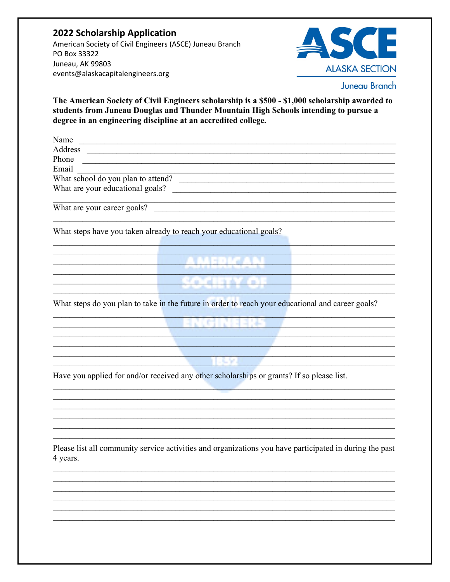## **2022 Scholarship Application** American Society of Civil Engineers (ASCE) Juneau Branch PO Box 33322 Juneau, AK 99803 events@alaskacapitalengineers.org



The American Society of Civil Engineers scholarship is a \$500 - \$1,000 scholarship awarded to students from Juneau Douglas and Thunder Mountain High Schools intending to pursue a degree in an engineering discipline at an accredited college.

Name Address and the contract of the contract of the contract of the contract of the contract of the contract of the contract of the contract of the contract of the contract of the contract of the contract of the contract of th Phone Email Email <u>January Communications</u><br>What school do you plan to attend? What are your educational goals? What are your career goals?

What steps have you taken already to reach your educational goals?

<u> - - - - - - - - - - - - 제대의 대한 전</u>문 ( 전 ) 전 전 대 제 ( <mark>사 제대)</mark>

<u> 1988 - Jan Stern Stern Stern Stern Stern Stern Stern Stern Stern Stern Stern Stern Stern Stern Stern Stern Stern Stern Stern Stern Stern Stern Stern Stern Stern Stern Stern Stern Stern Stern Stern Stern Stern Stern Stern</u>

What steps do you plan to take in the future in order to reach your educational and career goals?

the contract of the contract of the contract of the contract of the contract of the contract of the contract of

**MATHIA AWARE IN A REPORT OF A STATE OF A REPORT OF A STATE OF A REPORT OF A STATE OF A REPORT OF A STATE OF A** 

Have you applied for and/or received any other scholarships or grants? If so please list.

<u> 1970 - Jan James Barbara, martin d</u>

Please list all community service activities and organizations you have participated in during the past 4 years.